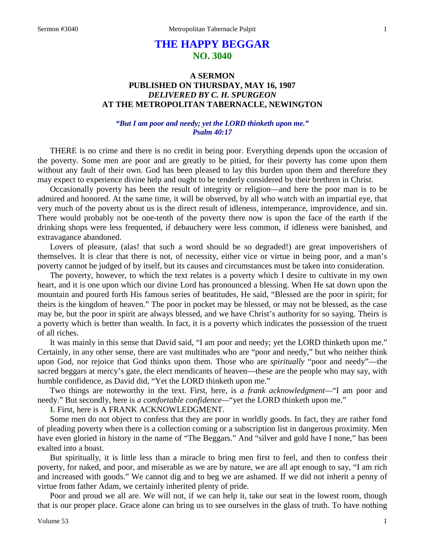# **THE HAPPY BEGGAR NO. 3040**

# **A SERMON PUBLISHED ON THURSDAY, MAY 16, 1907** *DELIVERED BY C. H. SPURGEON* **AT THE METROPOLITAN TABERNACLE, NEWINGTON**

## *"But I am poor and needy; yet the LORD thinketh upon me." Psalm 40:17*

THERE is no crime and there is no credit in being poor. Everything depends upon the occasion of the poverty. Some men are poor and are greatly to be pitied, for their poverty has come upon them without any fault of their own. God has been pleased to lay this burden upon them and therefore they may expect to experience divine help and ought to be tenderly considered by their brethren in Christ.

Occasionally poverty has been the result of integrity or religion—and here the poor man is to be admired and honored. At the same time, it will be observed, by all who watch with an impartial eye, that very much of the poverty about us is the direct result of idleness, intemperance, improvidence, and sin. There would probably not be one-tenth of the poverty there now is upon the face of the earth if the drinking shops were less frequented, if debauchery were less common, if idleness were banished, and extravagance abandoned.

Lovers of pleasure, (alas! that such a word should be so degraded!) are great impoverishers of themselves. It is clear that there is not, of necessity, either vice or virtue in being poor, and a man's poverty cannot be judged of by itself, but its causes and circumstances must be taken into consideration.

The poverty, however, to which the text relates is a poverty which I desire to cultivate in my own heart, and it is one upon which our divine Lord has pronounced a blessing. When He sat down upon the mountain and poured forth His famous series of beatitudes, He said, "Blessed are the poor in spirit; for theirs is the kingdom of heaven." The poor in pocket may be blessed, or may not be blessed, as the case may be, but the poor in spirit are always blessed, and we have Christ's authority for so saying. Theirs is a poverty which is better than wealth. In fact, it is a poverty which indicates the possession of the truest of all riches.

It was mainly in this sense that David said, "I am poor and needy; yet the LORD thinketh upon me." Certainly, in any other sense, there are vast multitudes who are "poor and needy," but who neither think upon God, nor rejoice that God thinks upon them. Those who are *spiritually* "poor and needy"—the sacred beggars at mercy's gate, the elect mendicants of heaven—these are the people who may say, with humble confidence, as David did, "Yet the LORD thinketh upon me."

Two things are noteworthy in the text. First, here, is *a frank acknowledgment—*"I am poor and needy." But secondly, here is *a comfortable confidence—*"yet the LORD thinketh upon me."

**I.** First, here is A FRANK ACKNOWLEDGMENT.

Some men do not object to confess that they are poor in worldly goods. In fact, they are rather fond of pleading poverty when there is a collection coming or a subscription list in dangerous proximity. Men have even gloried in history in the name of "The Beggars." And "silver and gold have I none," has been exalted into a boast.

But spiritually, it is little less than a miracle to bring men first to feel, and then to confess their poverty, for naked, and poor, and miserable as we are by nature, we are all apt enough to say, "I am rich and increased with goods." We cannot dig and to beg we are ashamed. If we did not inherit a penny of virtue from father Adam, we certainly inherited plenty of pride.

Poor and proud we all are. We will not, if we can help it, take our seat in the lowest room, though that is our proper place. Grace alone can bring us to see ourselves in the glass of truth. To have nothing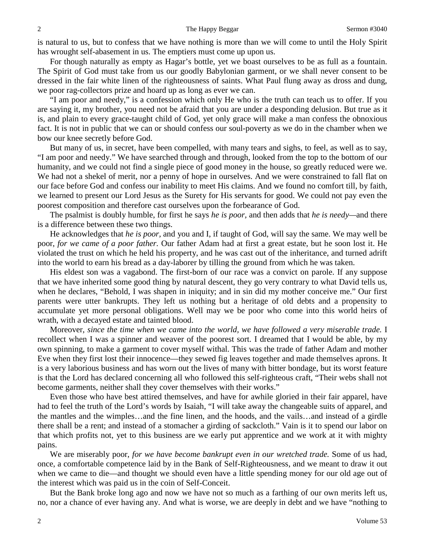is natural to us, but to confess that we have nothing is more than we will come to until the Holy Spirit has wrought self-abasement in us. The emptiers must come up upon us.

For though naturally as empty as Hagar's bottle, yet we boast ourselves to be as full as a fountain. The Spirit of God must take from us our goodly Babylonian garment, or we shall never consent to be dressed in the fair white linen of the righteousness of saints. What Paul flung away as dross and dung, we poor rag-collectors prize and hoard up as long as ever we can.

"I am poor and needy," is a confession which only He who is the truth can teach us to offer. If you are saying it, my brother, you need not be afraid that you are under a desponding delusion. But true as it is, and plain to every grace-taught child of God, yet only grace will make a man confess the obnoxious fact. It is not in public that we can or should confess our soul-poverty as we do in the chamber when we bow our knee secretly before God.

But many of us, in secret, have been compelled, with many tears and sighs, to feel, as well as to say, "I am poor and needy." We have searched through and through, looked from the top to the bottom of our humanity, and we could not find a single piece of good money in the house, so greatly reduced were we. We had not a shekel of merit, nor a penny of hope in ourselves. And we were constrained to fall flat on our face before God and confess our inability to meet His claims. And we found no comfort till, by faith, we learned to present our Lord Jesus as the Surety for His servants for good. We could not pay even the poorest composition and therefore cast ourselves upon the forbearance of God.

The psalmist is doubly humble, for first he says *he is poor,* and then adds that *he is needy—*and there is a difference between these two things.

He acknowledges that *he is poor,* and you and I, if taught of God, will say the same. We may well be poor, *for we came of a poor father.* Our father Adam had at first a great estate, but he soon lost it. He violated the trust on which he held his property, and he was cast out of the inheritance, and turned adrift into the world to earn his bread as a day-laborer by tilling the ground from which he was taken.

His eldest son was a vagabond. The first-born of our race was a convict on parole. If any suppose that we have inherited some good thing by natural descent, they go very contrary to what David tells us, when he declares, "Behold, I was shapen in iniquity; and in sin did my mother conceive me." Our first parents were utter bankrupts. They left us nothing but a heritage of old debts and a propensity to accumulate yet more personal obligations. Well may we be poor who come into this world heirs of wrath, with a decayed estate and tainted blood.

Moreover, *since the time when we came into the world, we have followed a very miserable trade.* I recollect when I was a spinner and weaver of the poorest sort. I dreamed that I would be able, by my own spinning, to make a garment to cover myself withal. This was the trade of father Adam and mother Eve when they first lost their innocence—they sewed fig leaves together and made themselves aprons. It is a very laborious business and has worn out the lives of many with bitter bondage, but its worst feature is that the Lord has declared concerning all who followed this self-righteous craft, "Their webs shall not become garments, neither shall they cover themselves with their works."

Even those who have best attired themselves, and have for awhile gloried in their fair apparel, have had to feel the truth of the Lord's words by Isaiah, "I will take away the changeable suits of apparel, and the mantles and the wimples…and the fine linen, and the hoods, and the vails…and instead of a girdle there shall be a rent; and instead of a stomacher a girding of sackcloth." Vain is it to spend our labor on that which profits not, yet to this business are we early put apprentice and we work at it with mighty pains.

We are miserably poor, *for we have become bankrupt even in our wretched trade.* Some of us had, once, a comfortable competence laid by in the Bank of Self-Righteousness, and we meant to draw it out when we came to die—and thought we should even have a little spending money for our old age out of the interest which was paid us in the coin of Self-Conceit.

But the Bank broke long ago and now we have not so much as a farthing of our own merits left us, no, nor a chance of ever having any. And what is worse, we are deeply in debt and we have "nothing to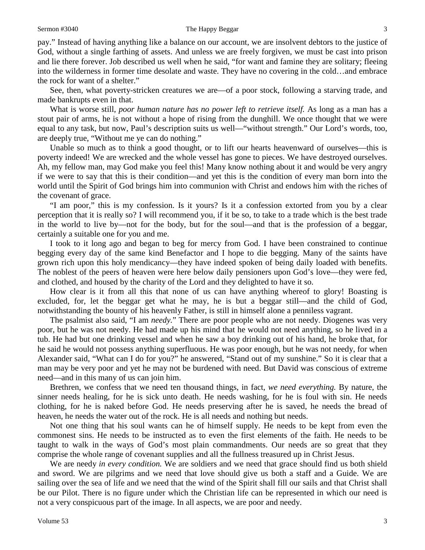### Sermon #3040 The Happy Beggar 3

pay." Instead of having anything like a balance on our account, we are insolvent debtors to the justice of God, without a single farthing of assets. And unless we are freely forgiven, we must be cast into prison and lie there forever. Job described us well when he said, "for want and famine they are solitary; fleeing into the wilderness in former time desolate and waste. They have no covering in the cold…and embrace the rock for want of a shelter."

See, then, what poverty-stricken creatures we are—of a poor stock, following a starving trade, and made bankrupts even in that.

What is worse still, *poor human nature has no power left to retrieve itself.* As long as a man has a stout pair of arms, he is not without a hope of rising from the dunghill. We once thought that we were equal to any task, but now, Paul's description suits us well—"without strength." Our Lord's words, too, are deeply true, "Without me ye can do nothing."

Unable so much as to think a good thought, or to lift our hearts heavenward of ourselves—this is poverty indeed! We are wrecked and the whole vessel has gone to pieces. We have destroyed ourselves. Ah, my fellow man, may God make you feel this! Many know nothing about it and would be very angry if we were to say that this is their condition—and yet this is the condition of every man born into the world until the Spirit of God brings him into communion with Christ and endows him with the riches of the covenant of grace.

"I am poor," this is my confession. Is it yours? Is it a confession extorted from you by a clear perception that it is really so? I will recommend you, if it be so, to take to a trade which is the best trade in the world to live by—not for the body, but for the soul—and that is the profession of a beggar, certainly a suitable one for you and me.

I took to it long ago and began to beg for mercy from God. I have been constrained to continue begging every day of the same kind Benefactor and I hope to die begging. Many of the saints have grown rich upon this holy mendicancy—they have indeed spoken of being daily loaded with benefits. The noblest of the peers of heaven were here below daily pensioners upon God's love—they were fed, and clothed, and housed by the charity of the Lord and they delighted to have it so.

How clear is it from all this that none of us can have anything whereof to glory! Boasting is excluded, for, let the beggar get what he may, he is but a beggar still—and the child of God, notwithstanding the bounty of his heavenly Father, is still in himself alone a penniless vagrant.

The psalmist also said, "I am *needy.*" There are poor people who are not needy. Diogenes was very poor, but he was not needy. He had made up his mind that he would not need anything, so he lived in a tub. He had but one drinking vessel and when he saw a boy drinking out of his hand, he broke that, for he said he would not possess anything superfluous. He was poor enough, but he was not needy, for when Alexander said, "What can I do for you?" he answered, "Stand out of my sunshine." So it is clear that a man may be very poor and yet he may not be burdened with need. But David was conscious of extreme need—and in this many of us can join him.

Brethren, we confess that we need ten thousand things, in fact, *we need everything.* By nature, the sinner needs healing, for he is sick unto death. He needs washing, for he is foul with sin. He needs clothing, for he is naked before God. He needs preserving after he is saved, he needs the bread of heaven, he needs the water out of the rock. He is all needs and nothing but needs.

Not one thing that his soul wants can he of himself supply. He needs to be kept from even the commonest sins. He needs to be instructed as to even the first elements of the faith. He needs to be taught to walk in the ways of God's most plain commandments. Our needs are so great that they comprise the whole range of covenant supplies and all the fullness treasured up in Christ Jesus.

We are needy *in every condition.* We are soldiers and we need that grace should find us both shield and sword. We are pilgrims and we need that love should give us both a staff and a Guide. We are sailing over the sea of life and we need that the wind of the Spirit shall fill our sails and that Christ shall be our Pilot. There is no figure under which the Christian life can be represented in which our need is not a very conspicuous part of the image. In all aspects, we are poor and needy.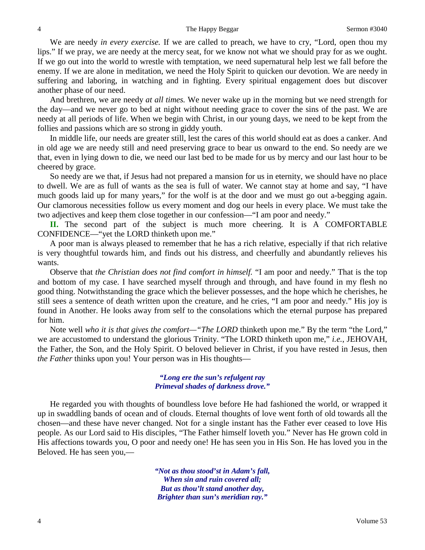We are needy *in every exercise.* If we are called to preach, we have to cry, "Lord, open thou my lips." If we pray, we are needy at the mercy seat, for we know not what we should pray for as we ought. If we go out into the world to wrestle with temptation, we need supernatural help lest we fall before the enemy. If we are alone in meditation, we need the Holy Spirit to quicken our devotion. We are needy in suffering and laboring, in watching and in fighting. Every spiritual engagement does but discover another phase of our need.

And brethren, we are needy *at all times.* We never wake up in the morning but we need strength for the day—and we never go to bed at night without needing grace to cover the sins of the past. We are needy at all periods of life. When we begin with Christ, in our young days, we need to be kept from the follies and passions which are so strong in giddy youth.

In middle life, our needs are greater still, lest the cares of this world should eat as does a canker. And in old age we are needy still and need preserving grace to bear us onward to the end. So needy are we that, even in lying down to die, we need our last bed to be made for us by mercy and our last hour to be cheered by grace.

So needy are we that, if Jesus had not prepared a mansion for us in eternity, we should have no place to dwell. We are as full of wants as the sea is full of water. We cannot stay at home and say, "I have much goods laid up for many years," for the wolf is at the door and we must go out a-begging again. Our clamorous necessities follow us every moment and dog our heels in every place. We must take the two adjectives and keep them close together in our confession—"I am poor and needy."

**II.** The second part of the subject is much more cheering. It is A COMFORTABLE CONFIDENCE—"yet the LORD thinketh upon me."

A poor man is always pleased to remember that he has a rich relative, especially if that rich relative is very thoughtful towards him, and finds out his distress, and cheerfully and abundantly relieves his wants.

Observe that *the Christian does not find comfort in himself.* "I am poor and needy." That is the top and bottom of my case. I have searched myself through and through, and have found in my flesh no good thing. Notwithstanding the grace which the believer possesses, and the hope which he cherishes, he still sees a sentence of death written upon the creature, and he cries, "I am poor and needy." His joy is found in Another. He looks away from self to the consolations which the eternal purpose has prepared for him.

Note well *who it is that gives the comfort—"The LORD* thinketh upon me." By the term "the Lord," we are accustomed to understand the glorious Trinity. "The LORD thinketh upon me," *i.e.*, JEHOVAH, the Father, the Son, and the Holy Spirit. O beloved believer in Christ, if you have rested in Jesus, then *the Father* thinks upon you! Your person was in His thoughts—

### *"Long ere the sun's refulgent ray Primeval shades of darkness drove."*

He regarded you with thoughts of boundless love before He had fashioned the world, or wrapped it up in swaddling bands of ocean and of clouds. Eternal thoughts of love went forth of old towards all the chosen—and these have never changed. Not for a single instant has the Father ever ceased to love His people. As our Lord said to His disciples, "The Father himself loveth you." Never has He grown cold in His affections towards you, O poor and needy one! He has seen you in His Son. He has loved you in the Beloved. He has seen you,—

> *"Not as thou stood'st in Adam's fall, When sin and ruin covered all; But as thou'lt stand another day, Brighter than sun's meridian ray."*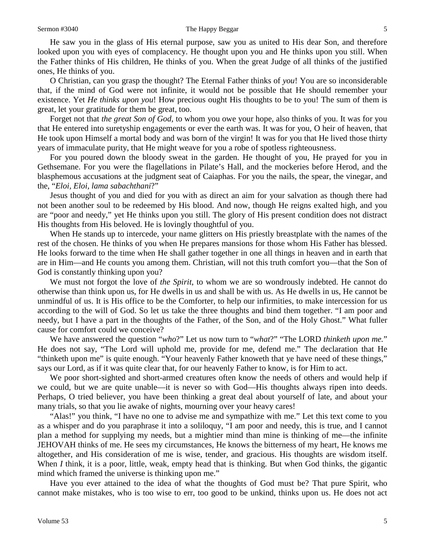He saw you in the glass of His eternal purpose, saw you as united to His dear Son, and therefore looked upon you with eyes of complacency. He thought upon you and He thinks upon you still. When the Father thinks of His children, He thinks of you. When the great Judge of all thinks of the justified ones, He thinks of you.

O Christian, can you grasp the thought? The Eternal Father thinks of *you*! You are so inconsiderable that, if the mind of God were not infinite, it would not be possible that He should remember your existence. Yet *He thinks upon you*! How precious ought His thoughts to be to you! The sum of them is great, let your gratitude for them be great, too.

Forget not that *the great Son of God,* to whom you owe your hope, also thinks of you. It was for you that He entered into suretyship engagements or ever the earth was. It was for you, O heir of heaven, that He took upon Himself a mortal body and was born of the virgin! It was for you that He lived those thirty years of immaculate purity, that He might weave for you a robe of spotless righteousness.

For you poured down the bloody sweat in the garden. He thought of you, He prayed for you in Gethsemane. For you were the flagellations in Pilate's Hall, and the mockeries before Herod, and the blasphemous accusations at the judgment seat of Caiaphas. For you the nails, the spear, the vinegar, and the, "*Eloi, Eloi, lama sabachthani*?"

Jesus thought of you and died for you with as direct an aim for your salvation as though there had not been another soul to be redeemed by His blood. And now, though He reigns exalted high, and you are "poor and needy," yet He thinks upon you still. The glory of His present condition does not distract His thoughts from His beloved. He is lovingly thoughtful of you.

When He stands up to intercede, your name glitters on His priestly breastplate with the names of the rest of the chosen. He thinks of you when He prepares mansions for those whom His Father has blessed. He looks forward to the time when He shall gather together in one all things in heaven and in earth that are in Him—and He counts you among them. Christian, will not this truth comfort you—that the Son of God is constantly thinking upon you?

We must not forgot the love of *the Spirit*, to whom we are so wondrously indebted. He cannot do otherwise than think upon us, for He dwells in us and shall be with us. As He dwells in us, He cannot be unmindful of us. It is His office to be the Comforter, to help our infirmities, to make intercession for us according to the will of God. So let us take the three thoughts and bind them together. "I am poor and needy, but I have a part in the thoughts of the Father, of the Son, and of the Holy Ghost." What fuller cause for comfort could we conceive?

We have answered the question "*who*?" Let us now turn to "*what*?" "The LORD *thinketh upon me.*" He does not say, "The Lord will uphold me, provide for me, defend me." The declaration that He "thinketh upon me" is quite enough. "Your heavenly Father knoweth that ye have need of these things," says our Lord, as if it was quite clear that, for our heavenly Father to know, is for Him to act.

We poor short-sighted and short-armed creatures often know the needs of others and would help if we could, but we are quite unable—it is never so with God—His thoughts always ripen into deeds. Perhaps, O tried believer, you have been thinking a great deal about yourself of late, and about your many trials, so that you lie awake of nights, mourning over your heavy cares!

"Alas!" you think, "I have no one to advise me and sympathize with me." Let this text come to you as a whisper and do you paraphrase it into a soliloquy, "I am poor and needy, this is true, and I cannot plan a method for supplying my needs, but a mightier mind than mine is thinking of me—the infinite JEHOVAH thinks of me. He sees my circumstances, He knows the bitterness of my heart, He knows me altogether, and His consideration of me is wise, tender, and gracious. His thoughts are wisdom itself. When *I* think, it is a poor, little, weak, empty head that is thinking. But when God thinks, the gigantic mind which framed the universe is thinking upon me."

Have you ever attained to the idea of what the thoughts of God must be? That pure Spirit, who cannot make mistakes, who is too wise to err, too good to be unkind, thinks upon us. He does not act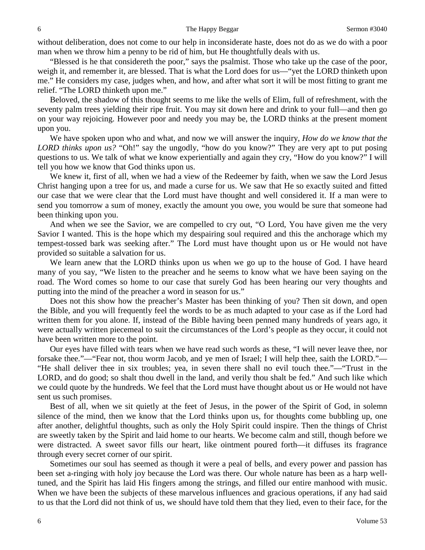without deliberation, does not come to our help in inconsiderate haste, does not do as we do with a poor man when we throw him a penny to be rid of him, but He thoughtfully deals with us.

"Blessed is he that considereth the poor," says the psalmist. Those who take up the case of the poor, weigh it, and remember it, are blessed. That is what the Lord does for us—"yet the LORD thinketh upon me." He considers my case, judges when, and how, and after what sort it will be most fitting to grant me relief. "The LORD thinketh upon me."

Beloved, the shadow of this thought seems to me like the wells of Elim, full of refreshment, with the seventy palm trees yielding their ripe fruit. You may sit down here and drink to your full—and then go on your way rejoicing. However poor and needy you may be, the LORD thinks at the present moment upon you.

We have spoken upon who and what, and now we will answer the inquiry, *How do we know that the LORD thinks upon us?* "Oh!" say the ungodly, "how do you know?" They are very apt to put posing questions to us. We talk of what we know experientially and again they cry, "How do you know?" I will tell you how we know that God thinks upon us.

We knew it, first of all, when we had a view of the Redeemer by faith, when we saw the Lord Jesus Christ hanging upon a tree for us, and made a curse for us. We saw that He so exactly suited and fitted our case that we were clear that the Lord must have thought and well considered it. If a man were to send you tomorrow a sum of money, exactly the amount you owe, you would be sure that someone had been thinking upon you.

And when we see the Savior, we are compelled to cry out, "O Lord, You have given me the very Savior I wanted. This is the hope which my despairing soul required and this the anchorage which my tempest-tossed bark was seeking after." The Lord must have thought upon us or He would not have provided so suitable a salvation for us.

We learn anew that the LORD thinks upon us when we go up to the house of God. I have heard many of you say, "We listen to the preacher and he seems to know what we have been saying on the road. The Word comes so home to our case that surely God has been hearing our very thoughts and putting into the mind of the preacher a word in season for us."

Does not this show how the preacher's Master has been thinking of you? Then sit down, and open the Bible, and you will frequently feel the words to be as much adapted to your case as if the Lord had written them for you alone. If, instead of the Bible having been penned many hundreds of years ago, it were actually written piecemeal to suit the circumstances of the Lord's people as they occur, it could not have been written more to the point.

Our eyes have filled with tears when we have read such words as these, "I will never leave thee, nor forsake thee."—"Fear not, thou worm Jacob, and ye men of Israel; I will help thee, saith the LORD."— "He shall deliver thee in six troubles; yea, in seven there shall no evil touch thee."—"Trust in the LORD, and do good; so shalt thou dwell in the land, and verily thou shalt be fed." And such like which we could quote by the hundreds. We feel that the Lord must have thought about us or He would not have sent us such promises.

Best of all, when we sit quietly at the feet of Jesus, in the power of the Spirit of God, in solemn silence of the mind, then we know that the Lord thinks upon us, for thoughts come bubbling up, one after another, delightful thoughts, such as only the Holy Spirit could inspire. Then the things of Christ are sweetly taken by the Spirit and laid home to our hearts. We become calm and still, though before we were distracted. A sweet savor fills our heart, like ointment poured forth—it diffuses its fragrance through every secret corner of our spirit.

Sometimes our soul has seemed as though it were a peal of bells, and every power and passion has been set a-ringing with holy joy because the Lord was there. Our whole nature has been as a harp welltuned, and the Spirit has laid His fingers among the strings, and filled our entire manhood with music. When we have been the subjects of these marvelous influences and gracious operations, if any had said to us that the Lord did not think of us, we should have told them that they lied, even to their face, for the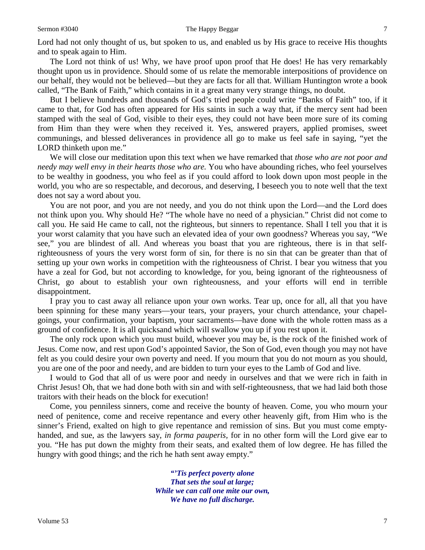Lord had not only thought of us, but spoken to us, and enabled us by His grace to receive His thoughts and to speak again to Him.

The Lord not think of us! Why, we have proof upon proof that He does! He has very remarkably thought upon us in providence. Should some of us relate the memorable interpositions of providence on our behalf, they would not be believed—but they are facts for all that. William Huntington wrote a book called, "The Bank of Faith," which contains in it a great many very strange things, no doubt.

But I believe hundreds and thousands of God's tried people could write "Banks of Faith" too, if it came to that, for God has often appeared for His saints in such a way that, if the mercy sent had been stamped with the seal of God, visible to their eyes, they could not have been more sure of its coming from Him than they were when they received it. Yes, answered prayers, applied promises, sweet communings, and blessed deliverances in providence all go to make us feel safe in saying, "yet the LORD thinketh upon me."

We will close our meditation upon this text when we have remarked that *those who are not poor and needy may well envy in their hearts those who are.* You who have abounding riches, who feel yourselves to be wealthy in goodness, you who feel as if you could afford to look down upon most people in the world, you who are so respectable, and decorous, and deserving, I beseech you to note well that the text does not say a word about you.

You are not poor, and you are not needy, and you do not think upon the Lord—and the Lord does not think upon you. Why should He? "The whole have no need of a physician." Christ did not come to call you. He said He came to call, not the righteous, but sinners to repentance. Shall I tell you that it is your worst calamity that you have such an elevated idea of your own goodness? Whereas you say, "We see," you are blindest of all. And whereas you boast that you are righteous, there is in that selfrighteousness of yours the very worst form of sin, for there is no sin that can be greater than that of setting up your own works in competition with the righteousness of Christ. I bear you witness that you have a zeal for God, but not according to knowledge, for you, being ignorant of the righteousness of Christ, go about to establish your own righteousness, and your efforts will end in terrible disappointment.

I pray you to cast away all reliance upon your own works. Tear up, once for all, all that you have been spinning for these many years—your tears, your prayers, your church attendance, your chapelgoings, your confirmation, your baptism, your sacraments—have done with the whole rotten mass as a ground of confidence. It is all quicksand which will swallow you up if you rest upon it.

The only rock upon which you must build, whoever you may be, is the rock of the finished work of Jesus. Come now, and rest upon God's appointed Savior, the Son of God, even though you may not have felt as you could desire your own poverty and need. If you mourn that you do not mourn as you should, you are one of the poor and needy, and are bidden to turn your eyes to the Lamb of God and live.

I would to God that all of us were poor and needy in ourselves and that we were rich in faith in Christ Jesus! Oh, that we had done both with sin and with self-righteousness, that we had laid both those traitors with their heads on the block for execution!

Come, you penniless sinners, come and receive the bounty of heaven. Come, you who mourn your need of penitence, come and receive repentance and every other heavenly gift, from Him who is the sinner's Friend, exalted on high to give repentance and remission of sins. But you must come emptyhanded, and sue, as the lawyers say, *in forma pauperis,* for in no other form will the Lord give ear to you. "He has put down the mighty from their seats, and exalted them of low degree. He has filled the hungry with good things; and the rich he hath sent away empty."

> *"'Tis perfect poverty alone That sets the soul at large; While we can call one mite our own, We have no full discharge.*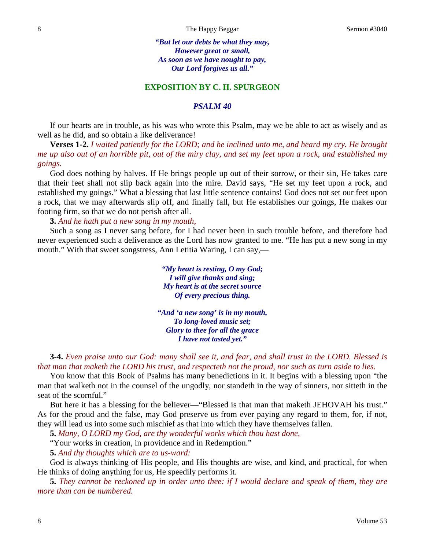*"But let our debts be what they may, However great or small, As soon as we have nought to pay, Our Lord forgives us all."*

### **EXPOSITION BY C. H. SPURGEON**

### *PSALM 40*

If our hearts are in trouble, as his was who wrote this Psalm, may we be able to act as wisely and as well as he did, and so obtain a like deliverance!

**Verses 1-2.** *I waited patiently for the LORD; and he inclined unto me, and heard my cry. He brought me up also out of an horrible pit, out of the miry clay, and set my feet upon a rock, and established my goings.*

God does nothing by halves. If He brings people up out of their sorrow, or their sin, He takes care that their feet shall not slip back again into the mire. David says, "He set my feet upon a rock, and established my goings." What a blessing that last little sentence contains! God does not set our feet upon a rock, that we may afterwards slip off, and finally fall, but He establishes our goings, He makes our footing firm, so that we do not perish after all.

**3.** *And he hath put a new song in my mouth,*

Such a song as I never sang before, for I had never been in such trouble before, and therefore had never experienced such a deliverance as the Lord has now granted to me. "He has put a new song in my mouth." With that sweet songstress, Ann Letitia Waring, I can say,—

> *"My heart is resting, O my God; I will give thanks and sing; My heart is at the secret source Of every precious thing.*

*"And 'a new song' is in my mouth, To long-loved music set; Glory to thee for all the grace I have not tasted yet."*

**3-4.** *Even praise unto our God: many shall see it, and fear, and shall trust in the LORD. Blessed is that man that maketh the LORD his trust, and respecteth not the proud, nor such as turn aside to lies.*

You know that this Book of Psalms has many benedictions in it. It begins with a blessing upon "the man that walketh not in the counsel of the ungodly, nor standeth in the way of sinners, nor sitteth in the seat of the scornful."

But here it has a blessing for the believer—"Blessed is that man that maketh JEHOVAH his trust." As for the proud and the false, may God preserve us from ever paying any regard to them, for, if not, they will lead us into some such mischief as that into which they have themselves fallen.

**5.** *Many, O LORD my God, are thy wonderful works which thou hast done,*

"Your works in creation, in providence and in Redemption."

**5.** *And thy thoughts which are to us-ward:*

God is always thinking of His people, and His thoughts are wise, and kind, and practical, for when He thinks of doing anything for us, He speedily performs it.

**5.** *They cannot be reckoned up in order unto thee: if I would declare and speak of them, they are more than can be numbered.*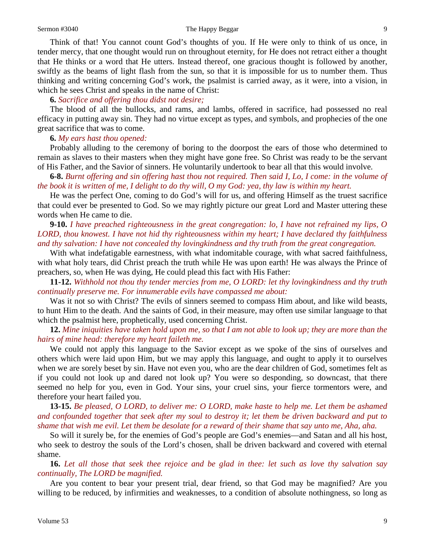Think of that! You cannot count God's thoughts of you. If He were only to think of us once, in tender mercy, that one thought would run on throughout eternity, for He does not retract either a thought that He thinks or a word that He utters. Instead thereof, one gracious thought is followed by another, swiftly as the beams of light flash from the sun, so that it is impossible for us to number them. Thus thinking and writing concerning God's work, the psalmist is carried away, as it were, into a vision, in which he sees Christ and speaks in the name of Christ:

## **6.** *Sacrifice and offering thou didst not desire;*

The blood of all the bullocks, and rams, and lambs, offered in sacrifice, had possessed no real efficacy in putting away sin. They had no virtue except as types, and symbols, and prophecies of the one great sacrifice that was to come.

### **6.** *My ears hast thou opened:*

Probably alluding to the ceremony of boring to the doorpost the ears of those who determined to remain as slaves to their masters when they might have gone free. So Christ was ready to be the servant of His Father, and the Savior of sinners. He voluntarily undertook to bear all that this would involve.

**6-8.** *Burnt offering and sin offering hast thou not required. Then said I, Lo, I come: in the volume of the book it is written of me, I delight to do thy will, O my God: yea, thy law is within my heart.*

He was the perfect One, coming to do God's will for us, and offering Himself as the truest sacrifice that could ever be presented to God. So we may rightly picture our great Lord and Master uttering these words when He came to die.

**9-10.** *I have preached righteousness in the great congregation: lo, I have not refrained my lips, O LORD, thou knowest. I have not hid thy righteousness within my heart; I have declared thy faithfulness and thy salvation: I have not concealed thy lovingkindness and thy truth from the great congregation.*

With what indefatigable earnestness, with what indomitable courage, with what sacred faithfulness, with what holy tears, did Christ preach the truth while He was upon earth! He was always the Prince of preachers, so, when He was dying, He could plead this fact with His Father:

**11-12.** *Withhold not thou thy tender mercies from me, O LORD: let thy lovingkindness and thy truth continually preserve me. For innumerable evils have compassed me about:* 

Was it not so with Christ? The evils of sinners seemed to compass Him about, and like wild beasts, to hunt Him to the death. And the saints of God, in their measure, may often use similar language to that which the psalmist here, prophetically, used concerning Christ.

**12.** *Mine iniquities have taken hold upon me, so that I am not able to look up; they are more than the hairs of mine head: therefore my heart faileth me.*

We could not apply this language to the Savior except as we spoke of the sins of ourselves and others which were laid upon Him, but we may apply this language, and ought to apply it to ourselves when we are sorely beset by sin. Have not even you, who are the dear children of God, sometimes felt as if you could not look up and dared not look up? You were so desponding, so downcast, that there seemed no help for you, even in God. Your sins, your cruel sins, your fierce tormentors were, and therefore your heart failed you.

**13-15.** *Be pleased, O LORD, to deliver me: O LORD, make haste to help me. Let them be ashamed and confounded together that seek after my soul to destroy it; let them be driven backward and put to shame that wish me evil. Let them be desolate for a reward of their shame that say unto me, Aha, aha.*

So will it surely be, for the enemies of God's people are God's enemies—and Satan and all his host, who seek to destroy the souls of the Lord's chosen, shall be driven backward and covered with eternal shame.

**16.** *Let all those that seek thee rejoice and be glad in thee: let such as love thy salvation say continually, The LORD be magnified.*

Are you content to bear your present trial, dear friend, so that God may be magnified? Are you willing to be reduced, by infirmities and weaknesses, to a condition of absolute nothingness, so long as